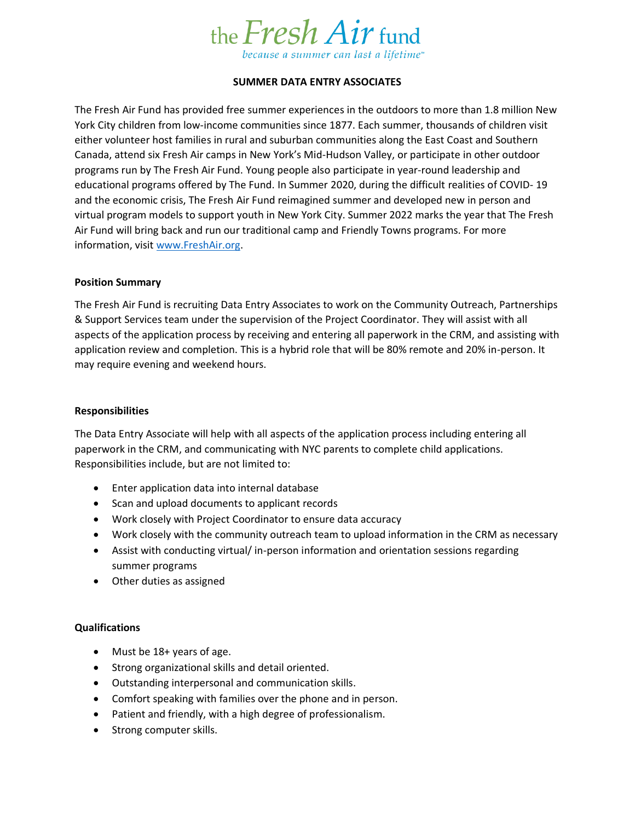

# **SUMMER DATA ENTRY ASSOCIATES**

The Fresh Air Fund has provided free summer experiences in the outdoors to more than 1.8 million New York City children from low-income communities since 1877. Each summer, thousands of children visit either volunteer host families in rural and suburban communities along the East Coast and Southern Canada, attend six Fresh Air camps in New York's Mid-Hudson Valley, or participate in other outdoor programs run by The Fresh Air Fund. Young people also participate in year-round leadership and educational programs offered by The Fund. In Summer 2020, during the difficult realities of COVID- 19 and the economic crisis, The Fresh Air Fund reimagined summer and developed new in person and virtual program models to support youth in New York City. Summer 2022 marks the year that The Fresh Air Fund will bring back and run our traditional camp and Friendly Towns programs. For more information, visit [www.FreshAir.org.](http://www.freshair.org/)

## **Position Summary**

The Fresh Air Fund is recruiting Data Entry Associates to work on the Community Outreach, Partnerships & Support Services team under the supervision of the Project Coordinator. They will assist with all aspects of the application process by receiving and entering all paperwork in the CRM, and assisting with application review and completion. This is a hybrid role that will be 80% remote and 20% in-person. It may require evening and weekend hours.

## **Responsibilities**

The Data Entry Associate will help with all aspects of the application process including entering all paperwork in the CRM, and communicating with NYC parents to complete child applications. Responsibilities include, but are not limited to:

- Enter application data into internal database
- Scan and upload documents to applicant records
- Work closely with Project Coordinator to ensure data accuracy
- Work closely with the community outreach team to upload information in the CRM as necessary
- Assist with conducting virtual/ in-person information and orientation sessions regarding summer programs
- Other duties as assigned

## **Qualifications**

- Must be 18+ years of age.
- Strong organizational skills and detail oriented.
- Outstanding interpersonal and communication skills.
- Comfort speaking with families over the phone and in person.
- Patient and friendly, with a high degree of professionalism.
- Strong computer skills.